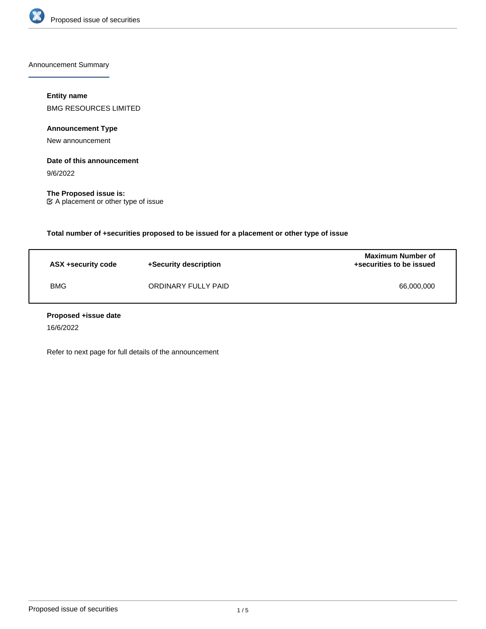

Announcement Summary

# **Entity name**

BMG RESOURCES LIMITED

**Announcement Type**

New announcement

# **Date of this announcement**

9/6/2022

**The Proposed issue is:** A placement or other type of issue

**Total number of +securities proposed to be issued for a placement or other type of issue**

| ASX +security code | +Security description | <b>Maximum Number of</b><br>+securities to be issued |
|--------------------|-----------------------|------------------------------------------------------|
| <b>BMG</b>         | ORDINARY FULLY PAID   | 66,000,000                                           |

## **Proposed +issue date**

16/6/2022

Refer to next page for full details of the announcement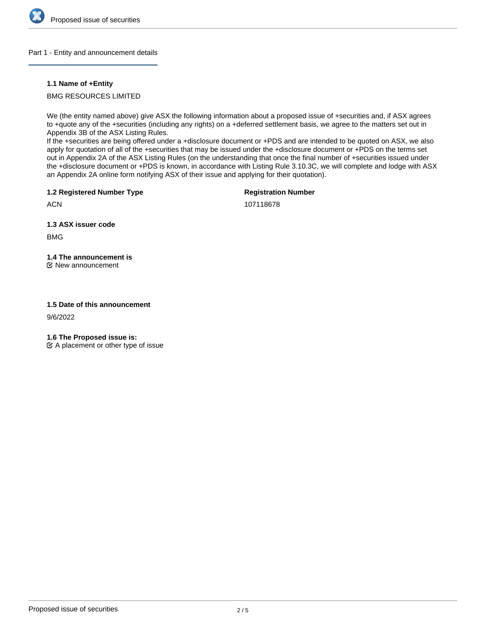

### Part 1 - Entity and announcement details

## **1.1 Name of +Entity**

BMG RESOURCES LIMITED

We (the entity named above) give ASX the following information about a proposed issue of +securities and, if ASX agrees to +quote any of the +securities (including any rights) on a +deferred settlement basis, we agree to the matters set out in Appendix 3B of the ASX Listing Rules.

If the +securities are being offered under a +disclosure document or +PDS and are intended to be quoted on ASX, we also apply for quotation of all of the +securities that may be issued under the +disclosure document or +PDS on the terms set out in Appendix 2A of the ASX Listing Rules (on the understanding that once the final number of +securities issued under the +disclosure document or +PDS is known, in accordance with Listing Rule 3.10.3C, we will complete and lodge with ASX an Appendix 2A online form notifying ASX of their issue and applying for their quotation).

**1.2 Registered Number Type**

**Registration Number**

107118678

**1.3 ASX issuer code**

BMG

**ACN** 

**1.4 The announcement is**

New announcement

## **1.5 Date of this announcement**

9/6/2022

**1.6 The Proposed issue is:**

 $\mathfrak{C}$  A placement or other type of issue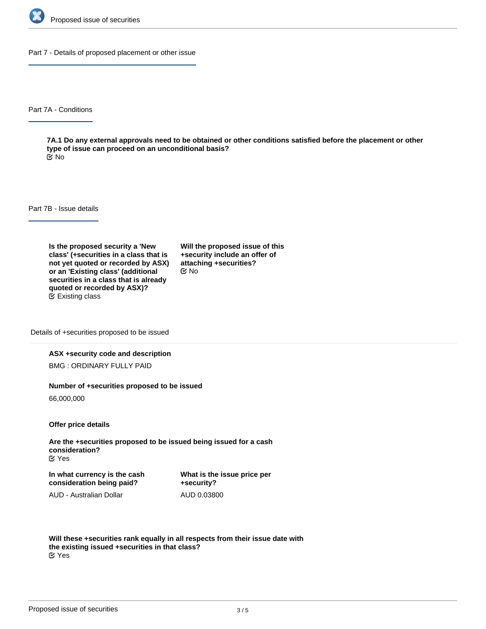

Part 7 - Details of proposed placement or other issue

Part 7A - Conditions

**7A.1 Do any external approvals need to be obtained or other conditions satisfied before the placement or other type of issue can proceed on an unconditional basis?** No

Part 7B - Issue details

**Is the proposed security a 'New class' (+securities in a class that is not yet quoted or recorded by ASX) or an 'Existing class' (additional securities in a class that is already quoted or recorded by ASX)?** Existing class

**Will the proposed issue of this +security include an offer of attaching +securities?** No

Details of +securities proposed to be issued

### **ASX +security code and description**

BMG : ORDINARY FULLY PAID

#### **Number of +securities proposed to be issued**

66,000,000

**Offer price details**

**Are the +securities proposed to be issued being issued for a cash consideration?** Yes

**In what currency is the cash consideration being paid?**

**What is the issue price per +security?** AUD 0.03800

AUD - Australian Dollar

**Will these +securities rank equally in all respects from their issue date with the existing issued +securities in that class?** Yes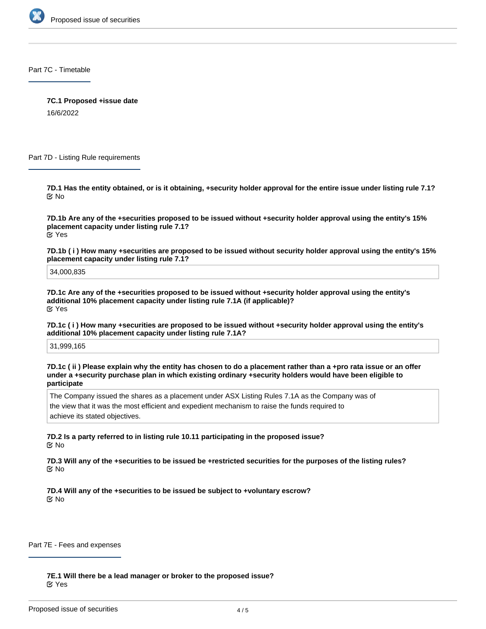

Part 7C - Timetable

**7C.1 Proposed +issue date**

16/6/2022

Part 7D - Listing Rule requirements

**7D.1 Has the entity obtained, or is it obtaining, +security holder approval for the entire issue under listing rule 7.1?** No

**7D.1b Are any of the +securities proposed to be issued without +security holder approval using the entity's 15% placement capacity under listing rule 7.1?** Yes

**7D.1b ( i ) How many +securities are proposed to be issued without security holder approval using the entity's 15% placement capacity under listing rule 7.1?**

34,000,835

**7D.1c Are any of the +securities proposed to be issued without +security holder approval using the entity's additional 10% placement capacity under listing rule 7.1A (if applicable)?** Yes

**7D.1c ( i ) How many +securities are proposed to be issued without +security holder approval using the entity's additional 10% placement capacity under listing rule 7.1A?**

31,999,165

**7D.1c ( ii ) Please explain why the entity has chosen to do a placement rather than a +pro rata issue or an offer under a +security purchase plan in which existing ordinary +security holders would have been eligible to participate**

The Company issued the shares as a placement under ASX Listing Rules 7.1A as the Company was of the view that it was the most efficient and expedient mechanism to raise the funds required to achieve its stated objectives.

**7D.2 Is a party referred to in listing rule 10.11 participating in the proposed issue?** No

**7D.3 Will any of the +securities to be issued be +restricted securities for the purposes of the listing rules?** No

**7D.4 Will any of the +securities to be issued be subject to +voluntary escrow?** No

Part 7E - Fees and expenses

**7E.1 Will there be a lead manager or broker to the proposed issue?** Yes

**7E.1a Who is the lead manager/broker?**